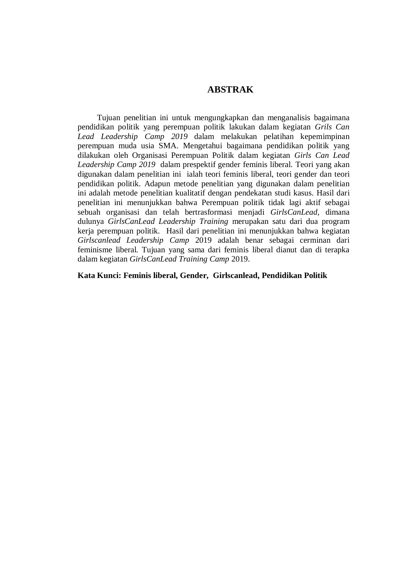## **ABSTRAK**

Tujuan penelitian ini untuk mengungkapkan dan menganalisis bagaimana pendidikan politik yang perempuan politik lakukan dalam kegiatan *Grils Can Lead Leadership Camp 2019* dalam melakukan pelatihan kepemimpinan perempuan muda usia SMA. Mengetahui bagaimana pendidikan politik yang dilakukan oleh Organisasi Perempuan Politik dalam kegiatan *Girls Can Lead Leadership Camp 2019* dalam prespektif gender feminis liberal. Teori yang akan digunakan dalam penelitian ini ialah teori feminis liberal, teori gender dan teori pendidikan politik. Adapun metode penelitian yang digunakan dalam penelitian ini adalah metode penelitian kualitatif dengan pendekatan studi kasus. Hasil dari penelitian ini menunjukkan bahwa Perempuan politik tidak lagi aktif sebagai sebuah organisasi dan telah bertrasformasi menjadi *GirlsCanLead*, dimana dulunya *GirlsCanLead Leadership Training* merupakan satu dari dua program kerja perempuan politik. Hasil dari penelitian ini menunjukkan bahwa kegiatan *Girlscanlead Leadership Camp* 2019 adalah benar sebagai cerminan dari feminisme liberal. Tujuan yang sama dari feminis liberal dianut dan di terapka dalam kegiatan *GirlsCanLead Training Camp* 2019.

**Kata Kunci: Feminis liberal, Gender, Girlscanlead, Pendidikan Politik**